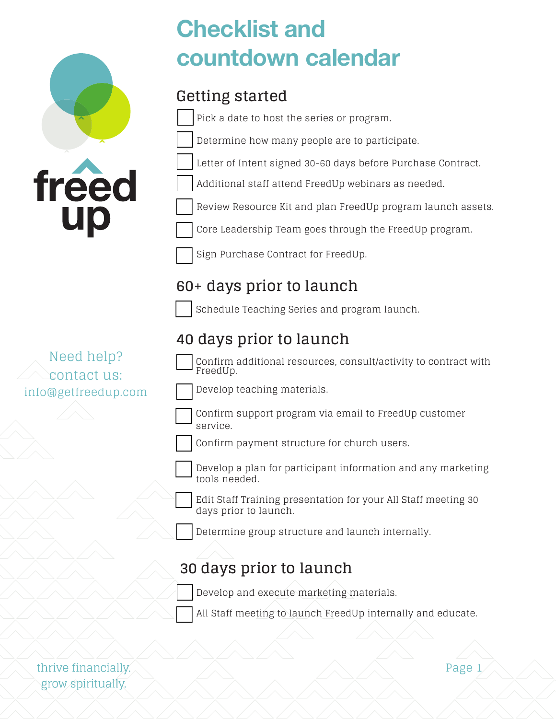

Confirm support program via email to FreedUp customer

service.

Confirm payment structure for church users.

Develop a plan for participant information and any marketing tools needed.

Edit Staff Training presentation for your All Staff meeting 30 days prior to launch.

Determine group structure and launch internally.

## **30 days prior to launch**

Develop and execute marketing materials.

All Staff meeting to launch FreedUp internally and educate.

thrive financially. grow spiritually.

Page 1